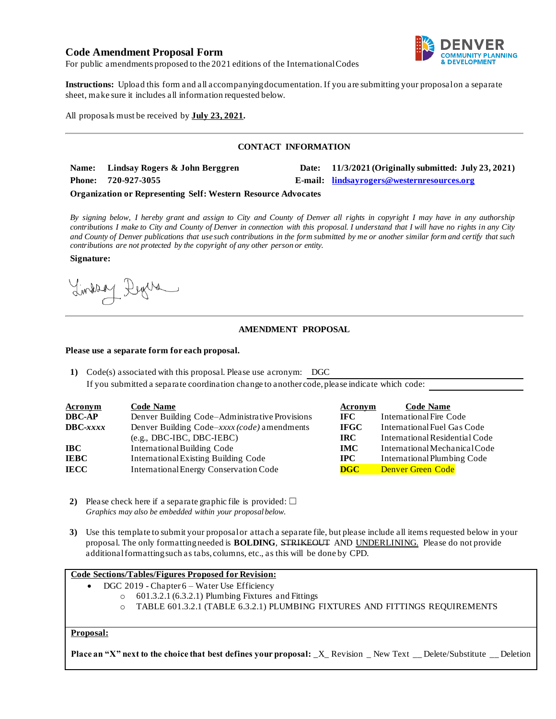## **Code Amendment Proposal Form**



For public amendments proposed to the 2021 editions of the International Codes

**Instructions:** Upload this form and all accompanying documentation. If you are submitting your proposal on a separate sheet, make sure it includes all information requested below.

All proposals must be received by **July 23, 2021.**

### **CONTACT INFORMATION**

| Name: Lindsay Rogers & John Berggren | Date: 11/3/2021 (Originally submitted: July 23, 2021) |
|--------------------------------------|-------------------------------------------------------|
| Phone: 720-927-3055                  | E-mail: lindsayrogers@westernresources.org            |

#### **Organization or Representing Self: Western Resource Advocates**

*By signing below, I hereby grant and assign to City and County of Denver all rights in copyright I may have in any authorship contributions I make to City and County of Denver in connection with this proposal. I understand that I will have no rights in any City and County of Denver publications that use such contributions in the form submitted by me or another similar form and certify that such contributions are not protected by the copyright of any other person or entity.* 

#### **Signature:**

Lindson Degree

## **AMENDMENT PROPOSAL**

#### **Please use a separate form for each proposal.**

**1)** Code(s) associated with this proposal. Please use acronym: DGC If you submitted a separate coordination change to another code, please indicate which code:

| <b>Acronym</b>    | <b>Code Name</b>                               | Acronym     | <b>Code Name</b>               |
|-------------------|------------------------------------------------|-------------|--------------------------------|
| <b>DBC-AP</b>     | Denver Building Code-Administrative Provisions | IFC -       | International Fire Code        |
| $\text{DBC}-xxxx$ | Denver Building Code-xxxx (code) amendments    | <b>IFGC</b> | International Fuel Gas Code    |
|                   | $(e.g., DBC-IBC, DBC-IEBC)$                    | IRC-        | International Residential Code |
| IBC-              | International Building Code                    | <b>IMC</b>  | International Mechanical Code  |
| <b>IEBC</b>       | <b>International Existing Building Code</b>    | IPC-        | International Plumbing Code    |
| IECC              | <b>International Energy Conservation Code</b>  | DGC         | <b>Denver Green Code</b>       |

- **2)** Please check here if a separate graphic file is provided:  $\Box$ *Graphics may also be embedded within your proposal below.*
- **3)** Use this template to submit your proposal or attach a separate file, but please include all items requested below in your proposal. The only formatting needed is **BOLDING**, STRIKEOUT AND UNDERLINING. Please do not provide additional formatting such as tabs, columns, etc., as this will be done by CPD.

#### **Code Sections/Tables/Figures Proposed for Revision:**

- DGC 2019 Chapter 6 Water Use Efficiency
	- $\degree$  601.3.2.1 (6.3.2.1) Plumbing Fixtures and Fittings
	- o TABLE 601.3.2.1 (TABLE 6.3.2.1) PLUMBING FIXTURES AND FITTINGS REQUIREMENTS

## **Proposal:**

**Place an "X" next to the choice that best defines your proposal:**  $X$  Revision \_ New Text \_ Delete/Substitute \_ Deletion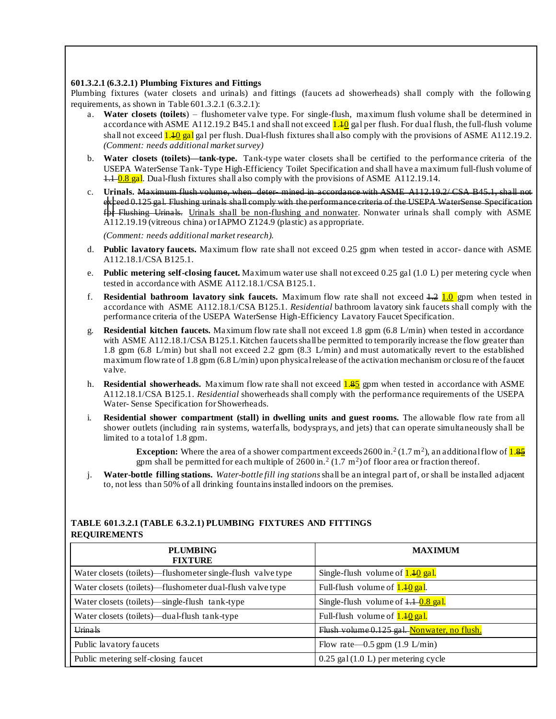### **601.3.2.1 (6.3.2.1) Plumbing Fixtures and Fittings**

Plumbing fixtures (water closets and urinals) and fittings (faucets ad showerheads) shall comply with the following requirements, as shown in Table 601.3.2.1 (6.3.2.1):

- a. **Water closets (toilets**) flushometer valve type. For single-flush, maximum flush volume shall be determined in accordance with ASME A112.19.2 B45.1 and shall not exceed  $1.10$  gal per flush. For dual flush, the full-flush volume shall not exceed  $1.40$  gal gal per flush. Dual-flush fixtures shall also comply with the provisions of ASME A112.19.2. *(Comment: needs additional market survey)*
- b. **Water closets (toilets)—tank-type.** Tank-type water closets shall be certified to the performance criteria of the USEPA WaterSense Tank-Type High-Efficiency Toilet Specification and shall have a maximum full-flush volume of  $1.1 - 0.8$  gal. Dual-flush fixtures shall also comply with the provisions of ASME A112.19.14.
- c. **Urinals.** Maximum flush volume, when deter- mined in accordance with ASME A112.19.2/ CSA B45.1, shall not exceed 0.125 gal. Flushing urinals shall comply with the performance criteria of the USEPA WaterSense Specification for Flushing Urinals. Urinals shall be non-flushing and nonwater. Nonwater urinals shall comply with ASME A112.19.19 (vitreous china) or IAPMO Z124.9 (plastic) as appropriate.

*(Comment: needs additional market research).*

- d. **Public lavatory faucets.** Maximum flow rate shall not exceed 0.25 gpm when tested in accor- dance with ASME A112.18.1/CSA B125.1.
- e. **Public metering self-closing faucet.** Maximum water use shall not exceed 0.25 gal (1.0 L) per metering cycle when tested in accordance with ASME A112.18.1/CSA B125.1.
- f. **Residential bathroom lavatory sink faucets.** Maximum flow rate shall not exceed 1.2 1.0 gpm when tested in accordance with ASME A112.18.1/CSA B125.1. *Residential* bathroom lavatory sink faucets shall comply with the performance criteria of the USEPA WaterSense High-Efficiency Lavatory Faucet Specification.
- g. **Residential kitchen faucets.** Maximum flow rate shall not exceed 1.8 gpm (6.8 L/min) when tested in accordance with ASME A112.18.1/CSA B125.1. Kitchen faucets shall be permitted to temporarily increase the flow greater than 1.8 gpm (6.8 L/min) but shall not exceed 2.2 gpm (8.3 L/min) and must automatically revert to the established maximum flow rate of 1.8 gpm (6.8 L/min) upon physical release of the activation mechanism or closu re of the faucet valve.
- h. **Residential showerheads.** Maximum flow rate shall not exceed 1.85 gpm when tested in accordance with ASME A112.18.1/CSA B125.1. *Residential* showerheads shall comply with the performance requirements of the USEPA Water- Sense Specification for Showerheads.
- i. **Residential shower compartment (stall) in dwelling units and guest rooms.** The allowable flow rate from all shower outlets (including rain systems, waterfalls, bodysprays, and jets) that can operate simultaneously shall be limited to a total of 1.8 gpm.

**Exception:** Where the area of a shower compartment exceeds 2600 in.<sup>2</sup> (1.7 m<sup>2</sup>), an additional flow of <mark>1.8<u>5</u></mark> gpm shall be permitted for each multiple of  $2600 \text{ in.}^2 (1.7 \text{ m}^2)$  of floor area or fraction thereof.

j. **Water-bottle filling stations.** *Water-bottle fill ing stations*shall be an integral part of, or shall be installed adjacent to, not less than 50% of all drinking fountains installed indoors on the premises.

# **PLUMBING FIXTURE MAXIMUM** Water closets (toilets)—flushometer single-flush valve type  $\left|\right. \text{Single-flush}$  volume of  $\frac{1.40 \text{ gal}}{1.40 \text{ gal}}$ . Water closets (toilets)—flushometer dual-flush valve type Full-flush volume of  $1.40$  gal. Water closets (toilets)—single-flush tank-type  $\vert$  Single-flush volume of  $\frac{1.1 - 0.8 \text{ gal}}{1.8 \text{ gal}}$ . Water closets (toilets)—dual-flush tank-type Full-flush volume of  $\frac{1.10 \text{ gal}}{2}$ . Urinals Flush volume 0.125 gal. Nonwater, no flush. Public lavatory faucets Flow rate—0.5 gpm (1.9 L/min) Public metering self-closing faucet 0.25 gal (1.0 L) per metering cycle

## **TABLE 601.3.2.1 (TABLE 6.3.2.1) PLUMBING FIXTURES AND FITTINGS REQUIREMENTS**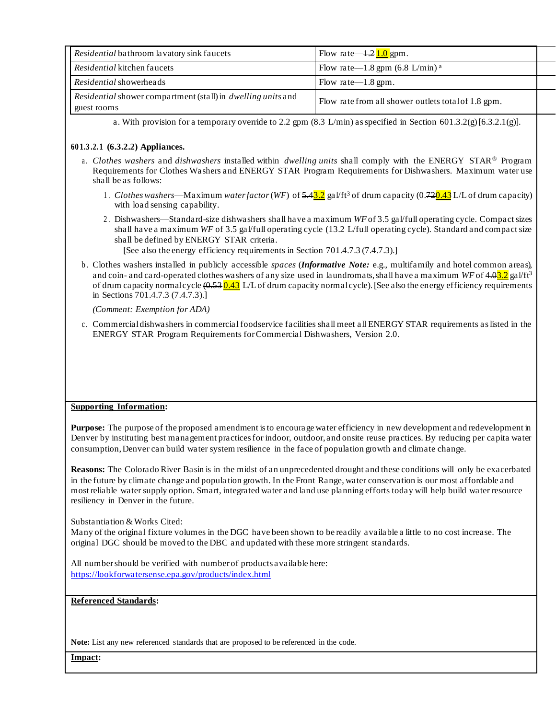|                                                                                    | Residential bathroom lavatory sink faucets | Flow rate—1.2 $1.0$ gpm.                            |  |  |
|------------------------------------------------------------------------------------|--------------------------------------------|-----------------------------------------------------|--|--|
|                                                                                    | <i>Residential</i> kitchen faucets         | Flow rate—1.8 gpm $(6.8 \text{ L/min})^{\text{a}}$  |  |  |
|                                                                                    | Residential showerheads                    | Flow rate— $1.8$ gpm.                               |  |  |
| Residential shower compartment (stall) in <i>dwelling units</i> and<br>guest rooms |                                            | Flow rate from all shower outlets total of 1.8 gpm. |  |  |

a. With provision for a temporary override to 2.2 gpm  $(8.3 \text{ L/min})$  as specified in Section 601.3.2(g)[6.3.2.1(g)].

## **60 1.3 .2.1 (6.3.2.2) Appliances.**

- a . *Clothes washers* and *dishwashers* installed within *dwelling units* shall comply with the ENERGY STAR® Program Requirements for Clothes Washers and ENERGY STAR Program Requirements for Dishwashers. Maximum water use shall be as follows:
	- 1 . *Clothes washers*—Maximum *water factor* (*WF*) of 5.43.2 gal/ft<sup>3</sup> of drum capacity (0.720.43 L/L of drum capacity) with load sensing capability.
	- 2 . Dishwashers—Standard-size dishwashers shall have a maximum *WF* of 3.5 gal/full operating cycle. Compact sizes shall have a maximum *WF* of 3.5 gal/full operating cycle (13.2 L/full operating cycle). Standard and compact size shall be defined by ENERGY STAR criteria.

[See also the energy efficiency requirements in Section 701.4.7.3 (7.4.7.3).]

b . Clothes washers installed in publicly accessible *spaces* (*Informative Note:* e.g., multifamily and hotel common areas), and coin- and card-operated clothes washers of any size used in laundromats, shall have a maximum *WF* of 4.02.2 gal/ft<sup>3</sup> of drum capacity normal cycle  $(0.53 \, 0.43 \, L/L)$  of drum capacity normal cycle). [See also the energy efficiency requirements in Sections 701.4.7.3 (7.4.7.3).]

*(Comment: Exemption for ADA)*

c . Commercial dishwashers in commercial foodservice facilities shall meet all ENERGY STAR requirements as listed in the ENERGY STAR Program Requirements for Commercial Dishwashers, Version 2.0.

#### **Supporting Information:**

**Purpose:** The purpose of the proposed amendment is to encourage water efficiency in new development and redevelopment in Denver by instituting best management practices for indoor, outdoor, and onsite reuse practices. By reducing per capita water consumption, Denver can build water system resilience in the face of population growth and climate change.

**Reasons:** The Colorado River Basin is in the midst of an unprecedented drought and these conditions will only be exacerbated in the future by climate change and popula tion growth. In the Front Range, water conservation is our most affordable and most reliable water supply option. Smart, integrated water and land use planning efforts today will help build water resource resiliency in Denver in the future.

Substantiation & Works Cited:

Many of the original fixture volumes in the DGC have been shown to be readily available a little to no cost increase. The original DGC should be moved to the DBC and updated with these more stringent standards.

All numbershould be verified with number of products available here: https://lookforwatersense.epa.gov/products/index.html

#### **Referenced Standards:**

**Note:** List any new referenced standards that are proposed to be referenced in the code.

**Impact:**